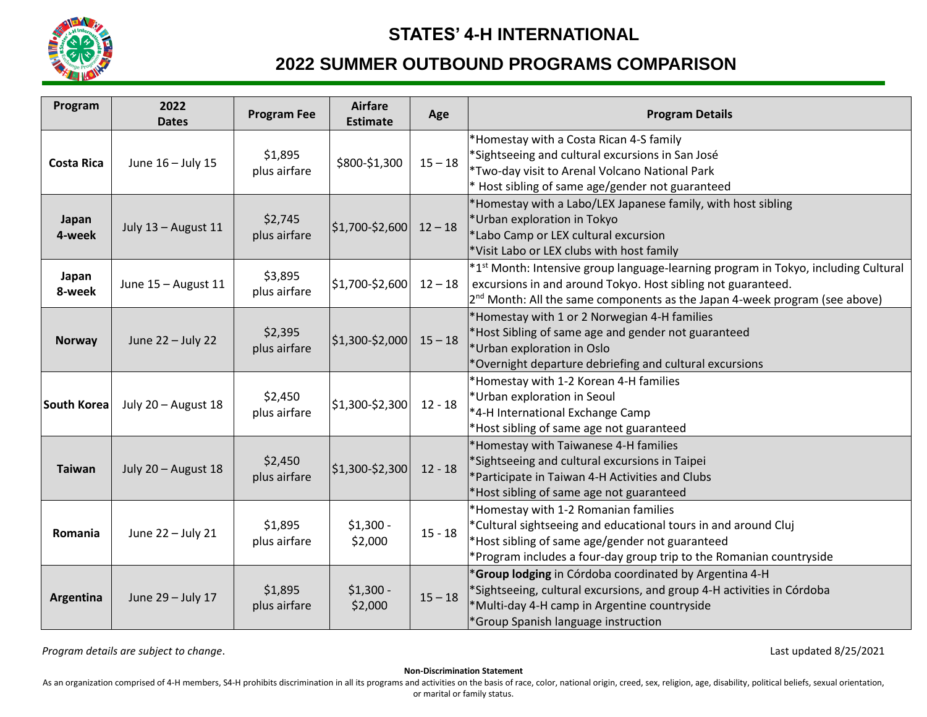

## **STATES' 4-H INTERNATIONAL**

# **2022 SUMMER OUTBOUND PROGRAMS COMPARISON**

| Program           | 2022<br><b>Dates</b> | <b>Program Fee</b>      | <b>Airfare</b><br><b>Estimate</b> | Age       | <b>Program Details</b>                                                                                                                                                                                                                            |
|-------------------|----------------------|-------------------------|-----------------------------------|-----------|---------------------------------------------------------------------------------------------------------------------------------------------------------------------------------------------------------------------------------------------------|
| <b>Costa Rica</b> | June 16 - July 15    | \$1,895<br>plus airfare | \$800-\$1,300                     | $15 - 18$ | *Homestay with a Costa Rican 4-S family<br>*Sightseeing and cultural excursions in San José<br>*Two-day visit to Arenal Volcano National Park<br>* Host sibling of same age/gender not guaranteed                                                 |
| Japan<br>4-week   | July 13 - August 11  | \$2,745<br>plus airfare | $$1,700-$2,600$                   | $12 - 18$ | *Homestay with a Labo/LEX Japanese family, with host sibling<br>*Urban exploration in Tokyo<br>*Labo Camp or LEX cultural excursion<br>*Visit Labo or LEX clubs with host family                                                                  |
| Japan<br>8-week   | June 15 - August 11  | \$3,895<br>plus airfare | \$1,700-\$2,600                   | $12 - 18$ | *1 <sup>st</sup> Month: Intensive group language-learning program in Tokyo, including Cultural<br>excursions in and around Tokyo. Host sibling not guaranteed.<br>$2^{nd}$ Month: All the same components as the Japan 4-week program (see above) |
| <b>Norway</b>     | June 22 - July 22    | \$2,395<br>plus airfare | $$1,300-$2,000$                   | $15 - 18$ | *Homestay with 1 or 2 Norwegian 4-H families<br>*Host Sibling of same age and gender not guaranteed<br>*Urban exploration in Oslo<br>*Overnight departure debriefing and cultural excursions                                                      |
| South Korea       | July 20 - August 18  | \$2,450<br>plus airfare | $$1,300-$2,300$                   | $12 - 18$ | *Homestay with 1-2 Korean 4-H families<br>*Urban exploration in Seoul<br>*4-H International Exchange Camp<br>*Host sibling of same age not guaranteed                                                                                             |
| <b>Taiwan</b>     | July 20 - August 18  | \$2,450<br>plus airfare | $$1,300-$2,300$                   | $12 - 18$ | *Homestay with Taiwanese 4-H families<br>*Sightseeing and cultural excursions in Taipei<br>*Participate in Taiwan 4-H Activities and Clubs<br>Host sibling of same age not guaranteed                                                             |
| Romania           | June 22 - July 21    | \$1,895<br>plus airfare | $$1,300 -$<br>\$2,000             | $15 - 18$ | *Homestay with 1-2 Romanian families<br>*Cultural sightseeing and educational tours in and around Cluj<br>*Host sibling of same age/gender not guaranteed<br>*Program includes a four-day group trip to the Romanian countryside                  |
| Argentina         | June 29 - July 17    | \$1,895<br>plus airfare | $$1,300 -$<br>\$2,000             | $15 - 18$ | *Group lodging in Córdoba coordinated by Argentina 4-H<br>*Sightseeing, cultural excursions, and group 4-H activities in Córdoba<br>*Multi-day 4-H camp in Argentine countryside<br>*Group Spanish language instruction                           |

*Program details are subject to change*. Last updated 8/25/2021

**Non-Discrimination Statement**

As an organization comprised of 4-H members, S4-H prohibits discrimination in all its programs and activities on the basis of race, color, national origin, creed, sex, religion, age, disability, political beliefs, sexual o or marital or family status.